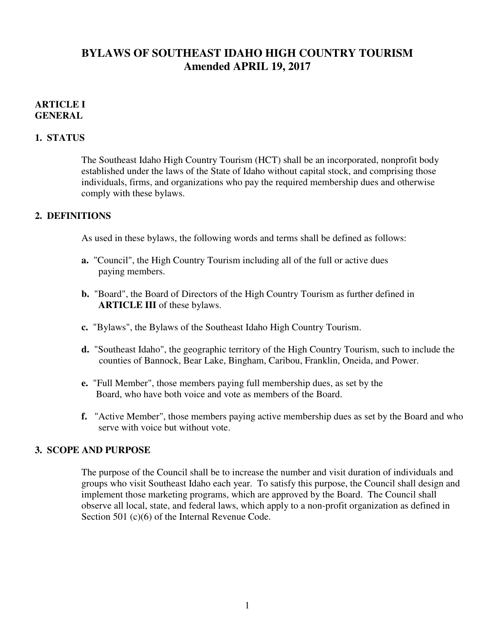# **BYLAWS OF SOUTHEAST IDAHO HIGH COUNTRY TOURISM Amended APRIL 19, 2017**

# **ARTICLE I GENERAL**

# **1. STATUS**

The Southeast Idaho High Country Tourism (HCT) shall be an incorporated, nonprofit body established under the laws of the State of Idaho without capital stock, and comprising those individuals, firms, and organizations who pay the required membership dues and otherwise comply with these bylaws.

## **2. DEFINITIONS**

As used in these bylaws, the following words and terms shall be defined as follows:

- **a.** "Council", the High Country Tourism including all of the full or active dues paying members.
- **b.** "Board", the Board of Directors of the High Country Tourism as further defined in  **ARTICLE III** of these bylaws.
- **c.** "Bylaws", the Bylaws of the Southeast Idaho High Country Tourism.
- **d.** "Southeast Idaho", the geographic territory of the High Country Tourism, such to include the counties of Bannock, Bear Lake, Bingham, Caribou, Franklin, Oneida, and Power.
- **e.** "Full Member", those members paying full membership dues, as set by the Board, who have both voice and vote as members of the Board.
- **f.** "Active Member", those members paying active membership dues as set by the Board and who serve with voice but without vote.

#### **3. SCOPE AND PURPOSE**

The purpose of the Council shall be to increase the number and visit duration of individuals and groups who visit Southeast Idaho each year. To satisfy this purpose, the Council shall design and implement those marketing programs, which are approved by the Board. The Council shall observe all local, state, and federal laws, which apply to a non-profit organization as defined in Section 501 (c)(6) of the Internal Revenue Code.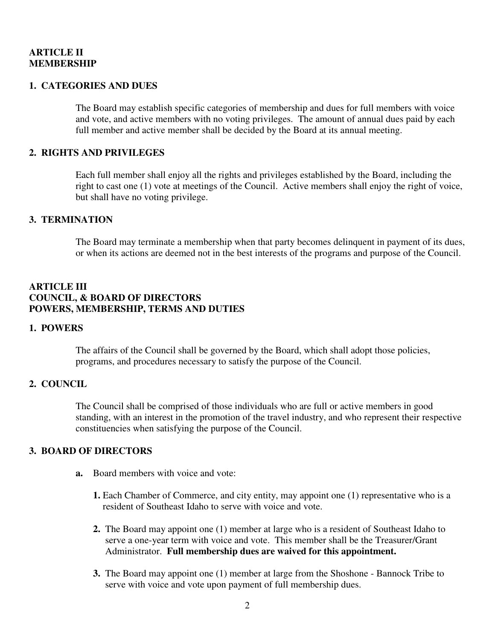# **ARTICLE II MEMBERSHIP**

#### **1. CATEGORIES AND DUES**

The Board may establish specific categories of membership and dues for full members with voice and vote, and active members with no voting privileges. The amount of annual dues paid by each full member and active member shall be decided by the Board at its annual meeting.

#### **2. RIGHTS AND PRIVILEGES**

Each full member shall enjoy all the rights and privileges established by the Board, including the right to cast one (1) vote at meetings of the Council. Active members shall enjoy the right of voice, but shall have no voting privilege.

#### **3. TERMINATION**

The Board may terminate a membership when that party becomes delinquent in payment of its dues, or when its actions are deemed not in the best interests of the programs and purpose of the Council.

# **ARTICLE III COUNCIL, & BOARD OF DIRECTORS POWERS, MEMBERSHIP, TERMS AND DUTIES**

#### **1. POWERS**

The affairs of the Council shall be governed by the Board, which shall adopt those policies, programs, and procedures necessary to satisfy the purpose of the Council.

#### **2. COUNCIL**

The Council shall be comprised of those individuals who are full or active members in good standing, with an interest in the promotion of the travel industry, and who represent their respective constituencies when satisfying the purpose of the Council.

#### **3. BOARD OF DIRECTORS**

- **a.** Board members with voice and vote:
	- **1.** Each Chamber of Commerce, and city entity, may appoint one (1) representative who is a resident of Southeast Idaho to serve with voice and vote.
	- **2.** The Board may appoint one (1) member at large who is a resident of Southeast Idaho to serve a one-year term with voice and vote. This member shall be the Treasurer/Grant Administrator. **Full membership dues are waived for this appointment.**
	- **3.** The Board may appoint one (1) member at large from the Shoshone Bannock Tribe to serve with voice and vote upon payment of full membership dues.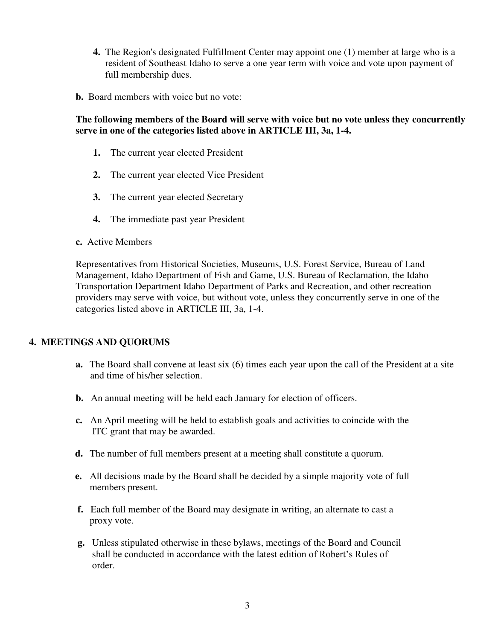- **4.** The Region's designated Fulfillment Center may appoint one (1) member at large who is a resident of Southeast Idaho to serve a one year term with voice and vote upon payment of full membership dues.
- **b.** Board members with voice but no vote:

## **The following members of the Board will serve with voice but no vote unless they concurrently serve in one of the categories listed above in ARTICLE III, 3a, 1-4.**

- **1.** The current year elected President
- **2.** The current year elected Vice President
- **3.** The current year elected Secretary
- **4.** The immediate past year President
- **c.** Active Members

Representatives from Historical Societies, Museums, U.S. Forest Service, Bureau of Land Management, Idaho Department of Fish and Game, U.S. Bureau of Reclamation, the Idaho Transportation Department Idaho Department of Parks and Recreation, and other recreation providers may serve with voice, but without vote, unless they concurrently serve in one of the categories listed above in ARTICLE III, 3a, 1-4.

#### **4. MEETINGS AND QUORUMS**

- **a.** The Board shall convene at least six (6) times each year upon the call of the President at a site and time of his/her selection.
- **b.** An annual meeting will be held each January for election of officers.
- **c.** An April meeting will be held to establish goals and activities to coincide with the ITC grant that may be awarded.
- **d.** The number of full members present at a meeting shall constitute a quorum.
- **e.** All decisions made by the Board shall be decided by a simple majority vote of full members present.
- **f.** Each full member of the Board may designate in writing, an alternate to cast a proxy vote.
- **g.** Unless stipulated otherwise in these bylaws, meetings of the Board and Council shall be conducted in accordance with the latest edition of Robert's Rules of order.